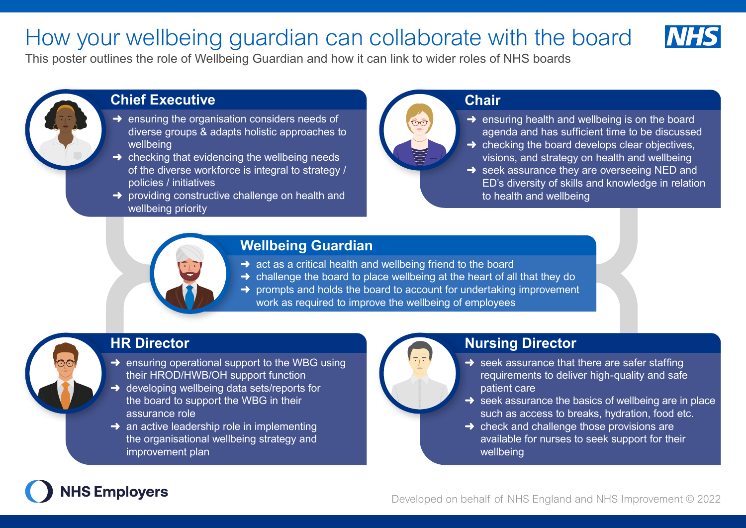## How your wellbeing guardian can collaborate with the board



This poster outlines the role of Wellbeing Guardian and how it can link to wider roles of NHS boards



### **Chief Executive**

- $\rightarrow$  ensuring the organisation considers needs of diverse groups & adapts holistic approaches to wellbeing
- $\rightarrow$  checking that evidencing the wellbeing needs of the diverse workforce is integral to strategy / policies / initiatives
- $\rightarrow$  providing constructive challenge on health and wellbeing priority

### **Chair**

- $\rightarrow$  ensuring health and wellbeing is on the board agenda and has sufficient time to be discussed
- $\rightarrow$  checking the board develops clear objectives. visions, and strategy on health and wellbeing
- $\rightarrow$  seek assurance they are overseeing NED and ED's diversity of skills and knowledge in relation to health and wellbeing

### **Wellbeing Guardian**

- $\rightarrow$  act as a critical health and wellbeing friend to the board
- $\rightarrow$  challenge the board to place wellbeing at the heart of all that they do
- $\rightarrow$  prompts and holds the board to account for undertaking improvement work as required to improve the wellbeing of employees

### **HR Director**

- $\rightarrow$  ensuring operational support to the WBG using their HROD/HWB/OH support function
- **→** developing wellbeing data sets/reports for the board to support the WBG in their assurance role
- $\rightarrow$  an active leadership role in implementing the organisational wellbeing strategy and improvement plan

### **Nursing Director**

- $\rightarrow$  seek assurance that there are safer staffing requirements to deliver high-quality and safe patient care
- $\rightarrow$  seek assurance the basics of wellbeing are in place such as access to breaks, hydration, food etc.
- $\rightarrow$  check and challenge those provisions are available for nurses to seek support for their wellbeing

# **NHS Employers**